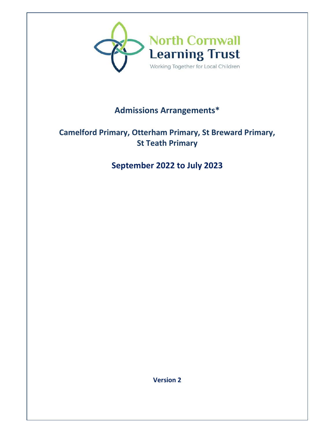

# **Admissions Arrangements\***

# **Camelford Primary, Otterham Primary, St Breward Primary, St Teath Primary**

# **September 2022 to July 2023**

**Version 2**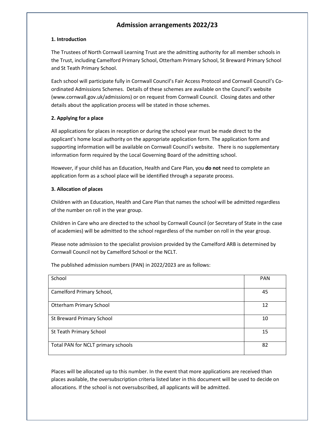## **Admission arrangements 2022/23**

## **1. Introduction**

The Trustees of North Cornwall Learning Trust are the admitting authority for all member schools in the Trust, including Camelford Primary School, Otterham Primary School, St Breward Primary School and St Teath Primary School.

Each school will participate fully in Cornwall Council's Fair Access Protocol and Cornwall Council's Coordinated Admissions Schemes. Details of these schemes are available on the Council's website (www.cornwall.gov.uk/admissions) or on request from Cornwall Council. Closing dates and other details about the application process will be stated in those schemes.

## **2. Applying for a place**

All applications for places in reception or during the school year must be made direct to the applicant's home local authority on the appropriate application form. The application form and supporting information will be available on Cornwall Council's website. There is no supplementary information form required by the Local Governing Board of the admitting school.

However, if your child has an Education, Health and Care Plan, you **do not** need to complete an application form as a school place will be identified through a separate process.

## **3. Allocation of places**

Children with an Education, Health and Care Plan that names the school will be admitted regardless of the number on roll in the year group.

Children in Care who are directed to the school by Cornwall Council (or Secretary of State in the case of academies) will be admitted to the school regardless of the number on roll in the year group.

Please note admission to the specialist provision provided by the Camelford ARB is determined by Cornwall Council not by Camelford School or the NCLT.

The published admission numbers (PAN) in 2022/2023 are as follows:

| School                             | <b>PAN</b> |
|------------------------------------|------------|
| Camelford Primary School,          | 45         |
| <b>Otterham Primary School</b>     | 12         |
| St Breward Primary School          | 10         |
| St Teath Primary School            | 15         |
| Total PAN for NCLT primary schools | 82         |

Places will be allocated up to this number. In the event that more applications are received than places available, the oversubscription criteria listed later in this document will be used to decide on allocations. If the school is not oversubscribed, all applicants will be admitted.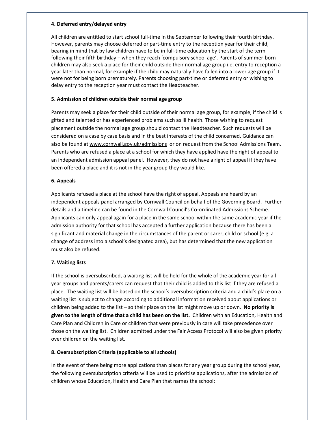## **4. Deferred entry/delayed entry**

All children are entitled to start school full-time in the September following their fourth birthday. However, parents may choose deferred or part-time entry to the reception year for their child, bearing in mind that by law children have to be in full-time education by the start of the term following their fifth birthday – when they reach 'compulsory school age'. Parents of summer-born children may also seek a place for their child outside their normal age group i.e. entry to reception a year later than normal, for example if the child may naturally have fallen into a lower age group if it were not for being born prematurely. Parents choosing part-time or deferred entry or wishing to delay entry to the reception year must contact the Headteacher.

## **5. Admission of children outside their normal age group**

Parents may seek a place for their child outside of their normal age group, for example, if the child is gifted and talented or has experienced problems such as ill health. Those wishing to request placement outside the normal age group should contact the Headteacher. Such requests will be considered on a case by case basis and in the best interests of the child concerned. Guidance can also be found at www.cornwall.gov.uk/admissions or on request from the School Admissions Team. Parents who are refused a place at a school for which they have applied have the right of appeal to an independent admission appeal panel. However, they do not have a right of appeal if they have been offered a place and it is not in the year group they would like.

## **6. Appeals**

Applicants refused a place at the school have the right of appeal. Appeals are heard by an independent appeals panel arranged by Cornwall Council on behalf of the Governing Board. Further details and a timeline can be found in the Cornwall Council's Co-ordinated Admissions Scheme. Applicants can only appeal again for a place in the same school within the same academic year if the admission authority for that school has accepted a further application because there has been a significant and material change in the circumstances of the parent or carer, child or school (e.g. a change of address into a school's designated area), but has determined that the new application must also be refused.

## **7. Waiting lists**

If the school is oversubscribed, a waiting list will be held for the whole of the academic year for all year groups and parents/carers can request that their child is added to this list if they are refused a place. The waiting list will be based on the school's oversubscription criteria and a child's place on a waiting list is subject to change according to additional information received about applications or children being added to the list – so their place on the list might move up or down. **No priority is given to the length of time that a child has been on the list.** Children with an Education, Health and Care Plan and Children in Care or children that were previously in care will take precedence over those on the waiting list. Children admitted under the Fair Access Protocol will also be given priority over children on the waiting list.

## **8. Oversubscription Criteria (applicable to all schools)**

In the event of there being more applications than places for any year group during the school year, the following oversubscription criteria will be used to prioritise applications, after the admission of children whose Education, Health and Care Plan that names the school: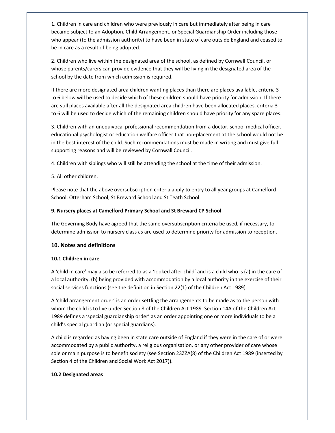1. Children in care and children who were previously in care but immediately after being in care became subject to an Adoption, Child Arrangement, or Special Guardianship Order including those who appear (to the admission authority) to have been in state of care outside England and ceased to be in care as a result of being adopted.

2. Children who live within the designated area of the school, as defined by Cornwall Council, or whose parents/carers can provide evidence that they will be living in the designated area of the school by the date from which admission is required.

If there are more designated area children wanting places than there are places available, criteria 3 to 6 below will be used to decide which of these children should have priority for admission. If there are still places available after all the designated area children have been allocated places, criteria 3 to 6 will be used to decide which of the remaining children should have priority for any spare places.

3. Children with an unequivocal professional recommendation from a doctor, school medical officer, educational psychologist or education welfare officer that non-placement at the school would not be in the best interest of the child. Such recommendations must be made in writing and must give full supporting reasons and will be reviewed by Cornwall Council.

4. Children with siblings who will still be attending the school at the time of their admission.

5. All other children.

Please note that the above oversubscription criteria apply to entry to all year groups at Camelford School, Otterham School, St Breward School and St Teath School.

## **9. Nursery places at Camelford Primary School and St Breward CP School**

The Governing Body have agreed that the same oversubscription criteria be used, if necessary, to determine admission to nursery class as are used to determine priority for admission to reception.

## **10. Notes and definitions**

#### **10.1 Children in care**

A 'child in care' may also be referred to as a 'looked after child' and is a child who is (a) in the care of a local authority, (b) being provided with accommodation by a local authority in the exercise of their social services functions (see the definition in Section 22(1) of the Children Act 1989).

A 'child arrangement order' is an order settling the arrangements to be made as to the person with whom the child is to live under Section 8 of the Children Act 1989. Section 14A of the Children Act 1989 defines a 'special guardianship order' as an order appointing one or more individuals to be a child's special guardian (or special guardians).

A child is regarded as having been in state care outside of England if they were in the care of or were accommodated by a public authority, a religious organisation, or any other provider of care whose sole or main purpose is to benefit society (see Section 23ZZA(8) of the Children Act 1989 (inserted by Section 4 of the Children and Social Work Act 2017)).

#### **10.2 Designated areas**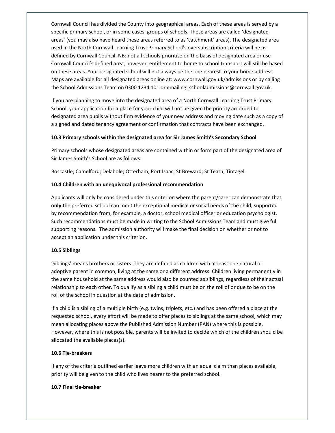Cornwall Council has divided the County into geographical areas. Each of these areas is served by a specific primary school, or in some cases, groups of schools. These areas are called 'designated areas' (you may also have heard these areas referred to as 'catchment' areas). The designated area used in the North Cornwall Learning Trust Primary School's oversubscription criteria will be as defined by Cornwall Council. NB: not all schools prioritise on the basis of designated area or use Cornwall Council's defined area, however, entitlement to home to school transport will still be based on these areas. Your designated school will not always be the one nearest to your home address. Maps are available for all designated areas online at: www.cornwall.gov.uk/admissions or by calling the School Admissions Team on 0300 1234 101 or emailing: schooladmissions@cornwall.gov.uk.

If you are planning to move into the designated area of a North Cornwall Learning Trust Primary School, your application for a place for your child will not be given the priority accorded to designated area pupils without firm evidence of your new address and moving date such as a copy of a signed and dated tenancy agreement or confirmation that contracts have been exchanged.

#### **10.3 Primary schools within the designated area for Sir James Smith's Secondary School**

Primary schools whose designated areas are contained within or form part of the designated area of Sir James Smith's School are as follows:

Boscastle; Camelford; Delabole; Otterham; Port Isaac; St Breward; St Teath; Tintagel.

#### **10.4 Children with an unequivocal professional recommendation**

Applicants will only be considered under this criterion where the parent/carer can demonstrate that **only** the preferred school can meet the exceptional medical or social needs of the child, supported by recommendation from, for example, a doctor, school medical officer or education psychologist. Such recommendations must be made in writing to the School Admissions Team and must give full supporting reasons. The admission authority will make the final decision on whether or not to accept an application under this criterion.

#### **10.5 Siblings**

'Siblings' means brothers or sisters. They are defined as children with at least one natural or adoptive parent in common, living at the same or a different address. Children living permanently in the same household at the same address would also be counted as siblings, regardless of their actual relationship to each other. To qualify as a sibling a child must be on the roll of or due to be on the roll of the school in question at the date of admission.

If a child is a sibling of a multiple birth (e.g. twins, triplets, etc.) and has been offered a place at the requested school, every effort will be made to offer places to siblings at the same school, which may mean allocating places above the Published Admission Number (PAN) where this is possible. However, where this is not possible, parents will be invited to decide which of the children should be allocated the available places(s).

#### **10.6 Tie-breakers**

If any of the criteria outlined earlier leave more children with an equal claim than places available, priority will be given to the child who lives nearer to the preferred school.

#### **10.7 Final tie-breaker**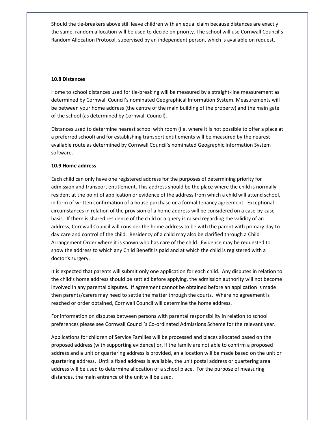Should the tie-breakers above still leave children with an equal claim because distances are exactly the same, random allocation will be used to decide on priority. The school will use Cornwall Council's Random Allocation Protocol, supervised by an independent person, which is available on request.

#### **10.8 Distances**

Home to school distances used for tie-breaking will be measured by a straight-line measurement as determined by Cornwall Council's nominated Geographical Information System. Measurements will be between your home address (the centre of the main building of the property) and the main gate of the school (as determined by Cornwall Council).

Distances used to determine nearest school with room (i.e. where it is not possible to offer a place at a preferred school) and for establishing transport entitlements will be measured by the nearest available route as determined by Cornwall Council's nominated Geographic Information System software.

#### **10.9 Home address**

Each child can only have one registered address for the purposes of determining priority for admission and transport entitlement. This address should be the place where the child is normally resident at the point of application or evidence of the address from which a child will attend school, in form of written confirmation of a house purchase or a formal tenancy agreement. Exceptional circumstances in relation of the provision of a home address will be considered on a case-by-case basis. If there is shared residence of the child or a query is raised regarding the validity of an address, Cornwall Council will consider the home address to be with the parent with primary day to day care and control of the child. Residency of a child may also be clarified through a Child Arrangement Order where it is shown who has care of the child. Evidence may be requested to show the address to which any Child Benefit is paid and at which the child is registered with a doctor's surgery.

It is expected that parents will submit only one application for each child. Any disputes in relation to the child's home address should be settled before applying, the admission authority will not become involved in any parental disputes. If agreement cannot be obtained before an application is made then parents/carers may need to settle the matter through the courts. Where no agreement is reached or order obtained, Cornwall Council will determine the home address.

For information on disputes between persons with parental responsibility in relation to school preferences please see Cornwall Council's Co-ordinated Admissions Scheme for the relevant year.

Applications for children of Service Families will be processed and places allocated based on the proposed address (with supporting evidence) or, if the family are not able to confirm a proposed address and a unit or quartering address is provided, an allocation will be made based on the unit or quartering address. Until a fixed address is available, the unit postal address or quartering area address will be used to determine allocation of a school place. For the purpose of measuring distances, the main entrance of the unit will be used.